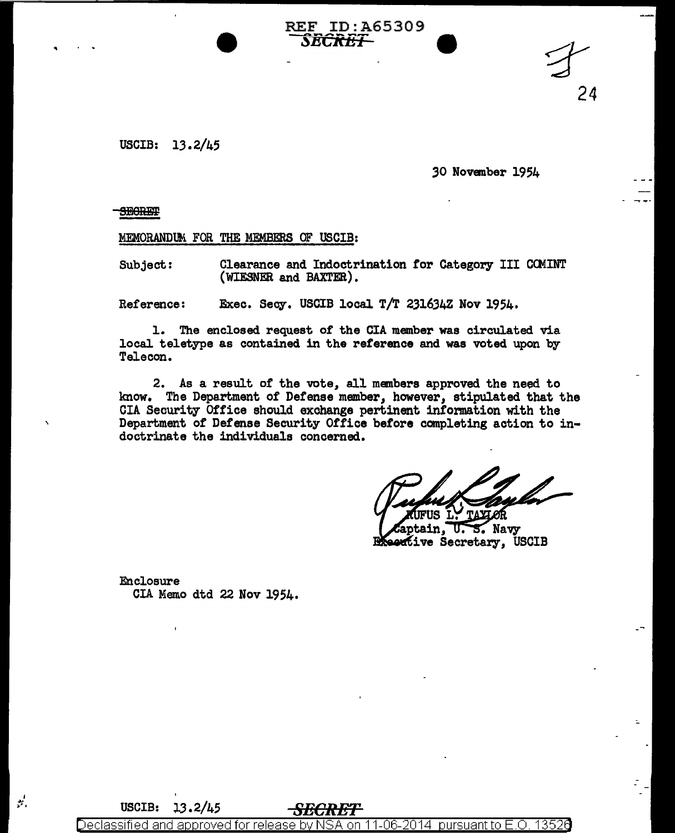USCIB: 13.2/45

*30* Novanber 1954

24

:.

SECRET **CONT** 

**SEGRET** 

..

MEMORANDUM FOR THE MEMBERS OF USCIB:

Subject: Clearance and Indoctrination for Category III COMINT (WIESNER and BAXTER).

EF ID:A65309<br>*SECRET* 

Reference: Exec. Secy. USCIB local T/T 231634Z Nov 1954.

l. The enclosed request of the CIA member was circulated via local teletype as contained in the reference and was voted upon by Telecon.

2. As a result of the vote, all manbers approved the need to know. The Department of Defense member, however, stipulated that the CIA Security Office should exchange pertinent information with the Department of Defense Security Office before completing action to indoctrinate the individuals concerned.

tain, S. Navy ᡁ; **Executive Secretary, USCIB** 

Enclosure CIA Memo dtd 22 Nov 1954.

USCIB: 13.2/45

 $\mathcal{F}^{\prime}$ 

Declassified and approved for release by NSA on 11-06-2014 pursuant to .